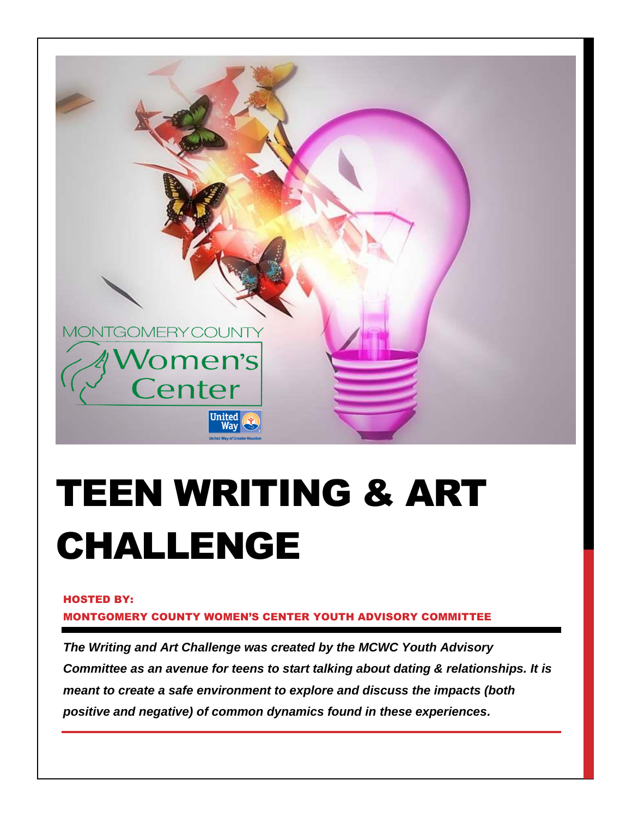

# TEEN WRITING & ART CHALLENGE

#### HOSTED BY:

MONTGOMERY COUNTY WOMEN'S CENTER YOUTH ADVISORY COMMITTEE

*The Writing and Art Challenge was created by the MCWC Youth Advisory Committee as an avenue for teens to start talking about dating & relationships. It is meant to create a safe environment to explore and discuss the impacts (both positive and negative) of common dynamics found in these experiences.*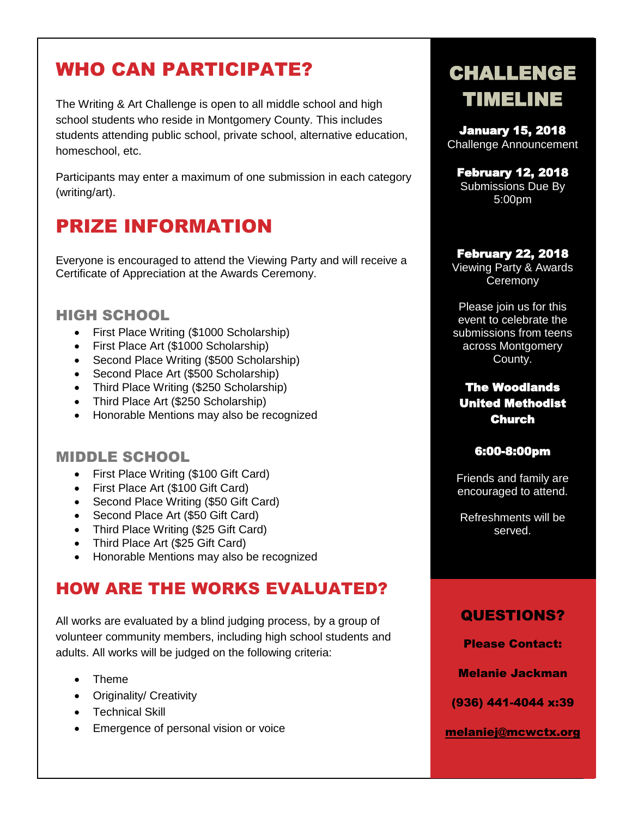## WHO CAN PARTICIPATE?

The Writing & Art Challenge is open to all middle school and high school students who reside in Montgomery County. This includes students attending public school, private school, alternative education, homeschool, etc.

Participants may enter a maximum of one submission in each category (writing/art).

### PRIZE INFORMATION

Everyone is encouraged to attend the Viewing Party and will receive a Certificate of Appreciation at the Awards Ceremony.

### HIGH SCHOOL

- First Place Writing (\$1000 Scholarship)
- First Place Art (\$1000 Scholarship)
- Second Place Writing (\$500 Scholarship)
- Second Place Art (\$500 Scholarship)
- Third Place Writing (\$250 Scholarship)
- Third Place Art (\$250 Scholarship)
- Honorable Mentions may also be recognized

#### MIDDLE SCHOOL

- First Place Writing (\$100 Gift Card)
- First Place Art (\$100 Gift Card)
- Second Place Writing (\$50 Gift Card)
- Second Place Art (\$50 Gift Card)
- Third Place Writing (\$25 Gift Card)
- Third Place Art (\$25 Gift Card)
- Honorable Mentions may also be recognized

### HOW ARE THE WORKS EVALUATED?

All works are evaluated by a blind judging process, by a group of volunteer community members, including high school students and adults. All works will be judged on the following criteria:

- Theme
- Originality/ Creativity
- **•** Technical Skill
- **Emergence of personal vision or voice**

# CHALLENGE TIMELINE

January 15, 2018 Challenge Announcement

February 12, 2018 Submissions Due By 5:00pm

#### February 22, 2018

Viewing Party & Awards **Ceremony** 

Please join us for this event to celebrate the submissions from teens across Montgomery County.

#### The Woodlands United Methodist Church

#### 6:00-8:00pm

Friends and family are encouraged to attend.

Refreshments will be served.

### QUESTIONS?

Please Contact:

Melanie Jackman

(936) 441-4044 x:39

[melaniej@mcwctx.org](mailto:melaniej@mcwctx.org)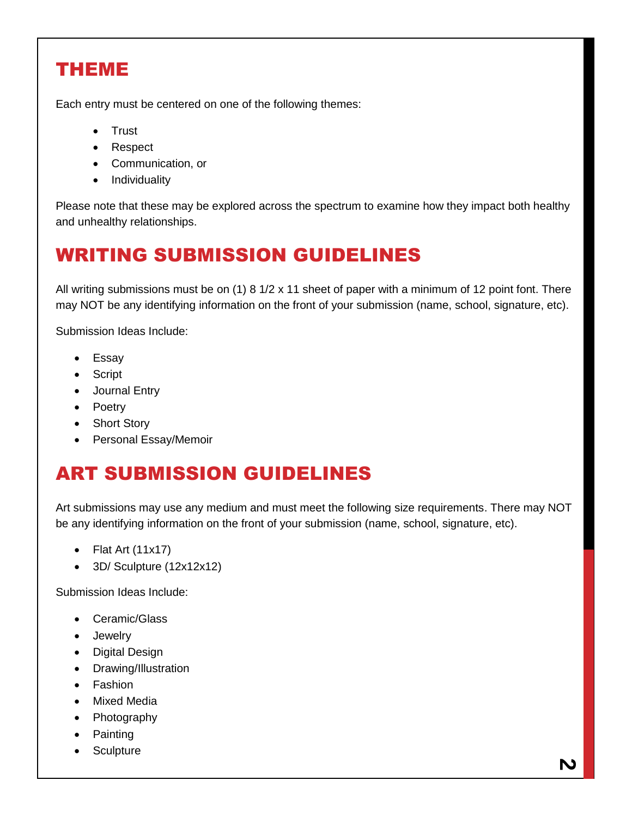### THEME

Each entry must be centered on one of the following themes:

- Trust
- Respect
- Communication, or
- Individuality

Please note that these may be explored across the spectrum to examine how they impact both healthy and unhealthy relationships.

## WRITING SUBMISSION GUIDELINES

All writing submissions must be on (1) 8 1/2 x 11 sheet of paper with a minimum of 12 point font. There may NOT be any identifying information on the front of your submission (name, school, signature, etc).

Submission Ideas Include:

- Essay
- Script
- Journal Entry
- Poetry
- Short Story
- Personal Essay/Memoir

### ART SUBMISSION GUIDELINES

Art submissions may use any medium and must meet the following size requirements. There may NOT be any identifying information on the front of your submission (name, school, signature, etc).

- $\bullet$  Flat Art (11x17)
- 3D/ Sculpture (12x12x12)

Submission Ideas Include:

- Ceramic/Glass
- Jewelry
- Digital Design
- Drawing/Illustration
- **•** Fashion
- Mixed Media
- Photography
- Painting
- Sculpture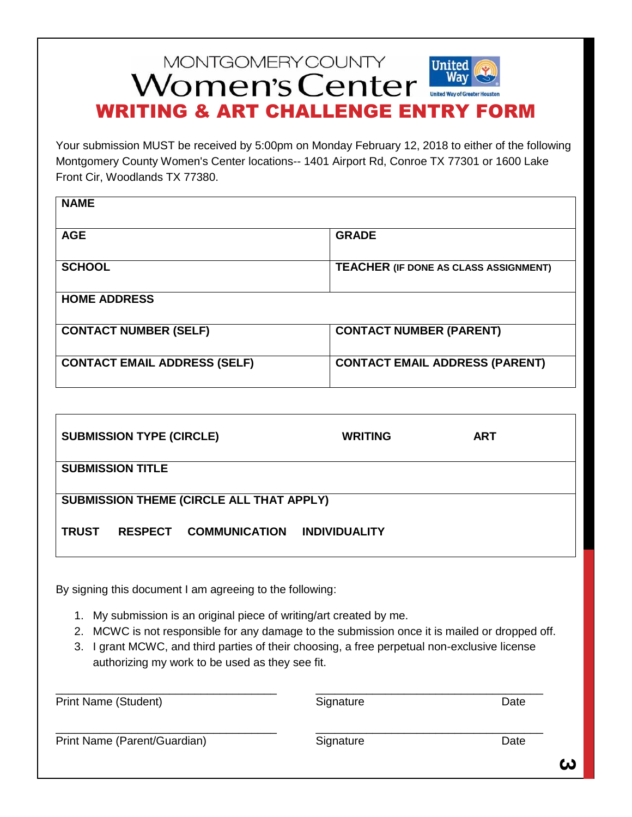### **MONTGOMERY COUNTY United** Women's Center WRITING & ART CHALLENGE ENTRY FORM

Your submission MUST be received by 5:00pm on Monday February 12, 2018 to either of the following Montgomery County Women's Center locations-- 1401 Airport Rd, Conroe TX 77301 or 1600 Lake Front Cir, Woodlands TX 77380.

| <b>NAME</b>                         |                                       |
|-------------------------------------|---------------------------------------|
| <b>AGE</b>                          | <b>GRADE</b>                          |
| <b>SCHOOL</b>                       | TEACHER (IF DONE AS CLASS ASSIGNMENT) |
| <b>HOME ADDRESS</b>                 |                                       |
| <b>CONTACT NUMBER (SELF)</b>        | <b>CONTACT NUMBER (PARENT)</b>        |
| <b>CONTACT EMAIL ADDRESS (SELF)</b> | <b>CONTACT EMAIL ADDRESS (PARENT)</b> |

| <b>SUBMISSION TYPE (CIRCLE)</b>                                                                                                                                                                                                                                                                                                  | <b>WRITING</b>       | <b>ART</b> |  |  |
|----------------------------------------------------------------------------------------------------------------------------------------------------------------------------------------------------------------------------------------------------------------------------------------------------------------------------------|----------------------|------------|--|--|
| <b>SUBMISSION TITLE</b>                                                                                                                                                                                                                                                                                                          |                      |            |  |  |
| <b>SUBMISSION THEME (CIRCLE ALL THAT APPLY)</b>                                                                                                                                                                                                                                                                                  |                      |            |  |  |
| <b>TRUST</b><br>RESPECT COMMUNICATION                                                                                                                                                                                                                                                                                            | <b>INDIVIDUALITY</b> |            |  |  |
| By signing this document I am agreeing to the following:                                                                                                                                                                                                                                                                         |                      |            |  |  |
| My submission is an original piece of writing/art created by me.<br>1.<br>MCWC is not responsible for any damage to the submission once it is mailed or dropped off.<br>2.<br>I grant MCWC, and third parties of their choosing, a free perpetual non-exclusive license<br>3.<br>authorizing my work to be used as they see fit. |                      |            |  |  |

| <b>Print Name (Student)</b>  | Signature | Date |
|------------------------------|-----------|------|
| Print Name (Parent/Guardian) | Signature | Date |